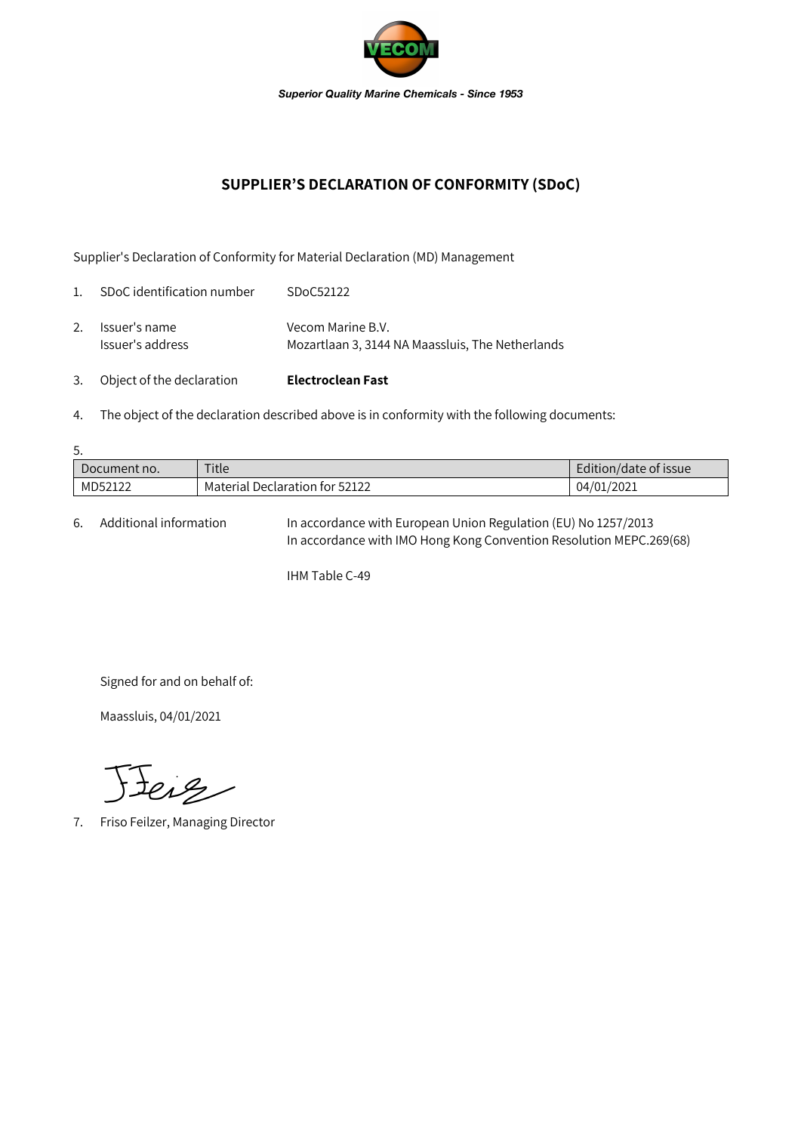

## **SUPPLIER'S DECLARATION OF CONFORMITY (SDoC)**

Supplier's Declaration of Conformity for Material Declaration (MD) Management

| 3.          | Object of the declaration         | <b>Electroclean Fast</b>                                              |
|-------------|-----------------------------------|-----------------------------------------------------------------------|
| 2.          | Issuer's name<br>Issuer's address | Vecom Marine B.V.<br>Mozartlaan 3, 3144 NA Maassluis, The Netherlands |
| $1_{\cdot}$ | SDoC identification number        | SDoC52122                                                             |

4. The object of the declaration described above is in conformity with the following documents:

| 5.           |                                |                       |  |  |  |  |
|--------------|--------------------------------|-----------------------|--|--|--|--|
| Document no. | Title                          | Edition/date of issue |  |  |  |  |
| MD52122      | Material Declaration for 52122 | 04/01/2021            |  |  |  |  |

6. Additional information In accordance with European Union Regulation (EU) No 1257/2013 In accordance with IMO Hong Kong Convention Resolution MEPC.269(68)

IHM Table C-49

Signed for and on behalf of:

Maassluis, 04/01/2021

Jeig

7. Friso Feilzer, Managing Director